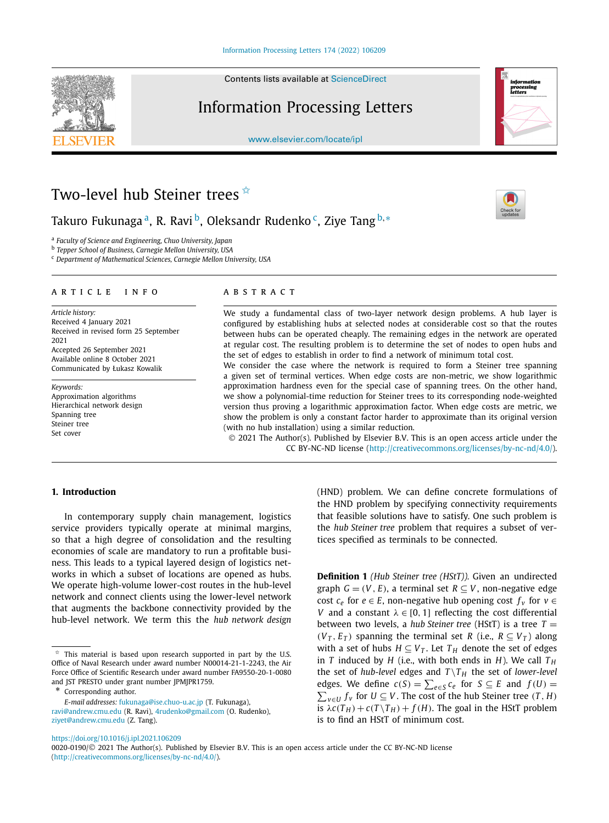Contents lists available at [ScienceDirect](http://www.ScienceDirect.com/)

# Information Processing Letters

[www.elsevier.com/locate/ipl](http://www.elsevier.com/locate/ipl)



# Two-level hub Steiner trees  $\overrightarrow{a}$

Takuro Fukunaga<sup>a</sup>, R. Ravi<sup>b</sup>, Oleksandr Rudenko<sup>c</sup>, Ziye Tang<sup>b,∗</sup>

<sup>a</sup> *Faculty of Science and Engineering, Chuo University, Japan*

<sup>b</sup> *Tepper School of Business, Carnegie Mellon University, USA*

<sup>c</sup> *Department of Mathematical Sciences, Carnegie Mellon University, USA*

# A R T I C I F I N F O A B S T R A C T

*Article history:* Received 4 January 2021 Received in revised form 25 September 2021 Accepted 26 September 2021 Available online 8 October 2021 Communicated by Łukasz Kowalik

*Keywords:* Approximation algorithms Hierarchical network design Spanning tree Steiner tree Set cover

We study a fundamental class of two-layer network design problems. A hub layer is configured by establishing hubs at selected nodes at considerable cost so that the routes between hubs can be operated cheaply. The remaining edges in the network are operated at regular cost. The resulting problem is to determine the set of nodes to open hubs and the set of edges to establish in order to find a network of minimum total cost.

We consider the case where the network is required to form a Steiner tree spanning a given set of terminal vertices. When edge costs are non-metric, we show logarithmic approximation hardness even for the special case of spanning trees. On the other hand, we show a polynomial-time reduction for Steiner trees to its corresponding node-weighted version thus proving a logarithmic approximation factor. When edge costs are metric, we show the problem is only a constant factor harder to approximate than its original version (with no hub installation) using a similar reduction.

© 2021 The Author(s). Published by Elsevier B.V. This is an open access article under the CC BY-NC-ND license [\(http://creativecommons.org/licenses/by-nc-nd/4.0/\)](http://creativecommons.org/licenses/by-nc-nd/4.0/).

# **1. Introduction**

In contemporary supply chain management, logistics service providers typically operate at minimal margins, so that a high degree of consolidation and the resulting economies of scale are mandatory to run a profitable business. This leads to a typical layered design of logistics networks in which a subset of locations are opened as hubs. We operate high-volume lower-cost routes in the hub-level network and connect clients using the lower-level network that augments the backbone connectivity provided by the hub-level network. We term this the *hub network design*

Corresponding author.

*E-mail addresses:* [fukunaga@ise.chuo-u.ac.jp](mailto:fukunaga@ise.chuo-u.ac.jp) (T. Fukunaga), [ravi@andrew.cmu.edu](mailto:ravi@andrew.cmu.edu) (R. Ravi), [4rudenko@gmail.com](mailto:4rudenko@gmail.com) (O. Rudenko), [ziyet@andrew.cmu.edu](mailto:ziyet@andrew.cmu.edu) (Z. Tang).

(HND) problem. We can define concrete formulations of the HND problem by specifying connectivity requirements that feasible solutions have to satisfy. One such problem is the *hub Steiner tree* problem that requires a subset of vertices specified as terminals to be connected.

**Definition 1** *(Hub Steiner tree (HStT)).* Given an undirected graph  $G = (V, E)$ , a terminal set  $R \subseteq V$ , non-negative edge cost  $c_e$  for  $e \in E$ , non-negative hub opening cost  $f_v$  for  $v \in E$ *V* and a constant  $\lambda \in [0, 1]$  reflecting the cost differential between two levels, a *hub Steiner tree* (HStT) is a tree  $T =$  $(V_T, E_T)$  spanning the terminal set *R* (i.e.,  $R \subseteq V_T$ ) along with a set of hubs  $H \subseteq V_T$ . Let  $T_H$  denote the set of edges in *T* induced by *H* (i.e., with both ends in *H*). We call  $T_H$ the set of *hub-level* edges and  $T \setminus T_H$  the set of *lower-level* edges. We define  $c(S) = \sum_{e \in S} c_e$  for  $S \subseteq E$  and  $f(U) =$  $\sum$ <sup>*v*∈*U*</sub> *f*<sup>*v*</sup> for *U* ⊆ *V*. The cost of the hub Steiner tree (*T*, *H*)</sup> is  $\lambda c(T_H) + c(T \setminus T_H) + f(H)$ . The goal in the HStT problem is to find an HStT of minimum cost.

<https://doi.org/10.1016/j.ipl.2021.106209>

0020-0190/© 2021 The Author(s). Published by Elsevier B.V. This is an open access article under the CC BY-NC-ND license [\(http://creativecommons.org/licenses/by-nc-nd/4.0/\)](http://creativecommons.org/licenses/by-nc-nd/4.0/).

<span id="page-0-0"></span>

This material is based upon research supported in part by the U.S. Office of Naval Research under award number N00014-21-1-2243, the Air Force Office of Scientific Research under award number FA9550-20-1-0080 and JST PRESTO under grant number JPMJPR1759.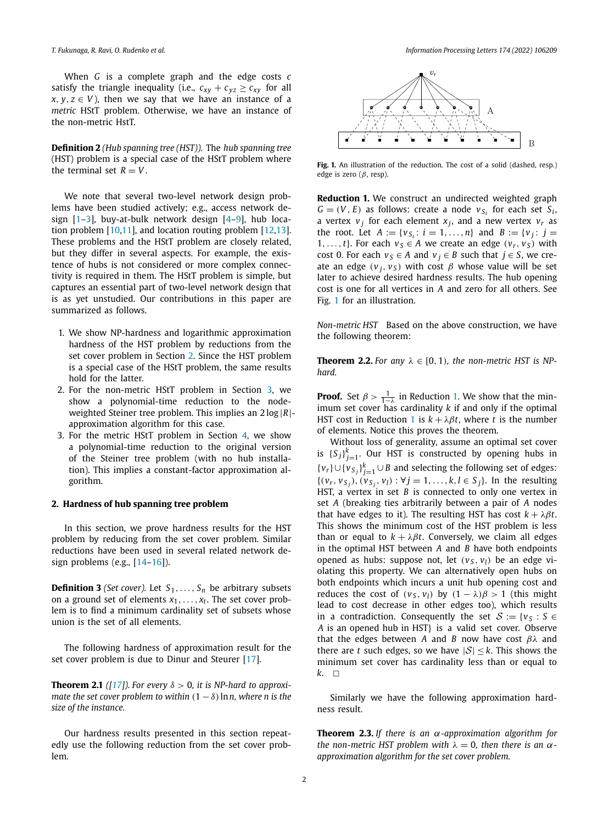<span id="page-1-0"></span>When *G* is a complete graph and the edge costs *c* satisfy the triangle inequality (i.e.,  $c_{xy} + c_{yz} \geq c_{xy}$  for all  $x, y, z \in V$ ), then we say that we have an instance of a *metric* HStT problem. Otherwise, we have an instance of the non-metric HstT.

**Definition 2** *(Hub spanning tree (HST)).* The *hub spanning tree* (HST) problem is a special case of the HStT problem where the terminal set  $R = V$ .

We note that several two-level network design problems have been studied actively; e.g., access network design [[1](#page-4-0)–[3](#page-4-0)], buy-at-bulk network design [[4–](#page-4-0)[9\]](#page-5-0), hub location problem [[10](#page-5-0),[11](#page-5-0)], and location routing problem [\[12,13](#page-5-0)]. These problems and the HStT problem are closely related, but they differ in several aspects. For example, the existence of hubs is not considered or more complex connectivity is required in them. The HStT problem is simple, but captures an essential part of two-level network design that is as yet unstudied. Our contributions in this paper are summarized as follows.

- 1. We show NP-hardness and logarithmic approximation hardness of the HST problem by reductions from the set cover problem in Section 2. Since the HST problem is a special case of the HStT problem, the same results hold for the latter.
- 2. For the non-metric HStT problem in Section [3](#page-2-0), we show a polynomial-time reduction to the nodeweighted Steiner tree problem. This implies an 2 log |*R*| approximation algorithm for this case.
- 3. For the metric HStT problem in Section [4](#page-3-0), we show a polynomial-time reduction to the original version of the Steiner tree problem (with no hub installation). This implies a constant-factor approximation algorithm.

# **2. Hardness of hub spanning tree problem**

In this section, we prove hardness results for the HST problem by reducing from the set cover problem. Similar reductions have been used in several related network design problems (e.g., [\[14–16\]](#page-5-0)).

**Definition 3** *(Set cover).* Let  $S_1, \ldots, S_n$  be arbitrary subsets on a ground set of elements *x*1*,..., xt*. The set cover problem is to find a minimum cardinality set of subsets whose union is the set of all elements.

The following hardness of approximation result for the set cover problem is due to Dinur and Steurer [\[17\]](#page-5-0).

**Theorem 2.1** ([\[17\]](#page-5-0)). For every  $\delta > 0$ , *it is NP-hard to approximate the set cover problem to within*  $(1 - \delta)$  *lnn, where n is the size of the instance.*

Our hardness results presented in this section repeatedly use the following reduction from the set cover problem.



**Fig. 1.** An illustration of the reduction. The cost of a solid (dashed, resp.) edge is zero (*β*, resp).

**Reduction 1.** We construct an undirected weighted graph  $G = (V, E)$  as follows: create a node  $v_{S_i}$  for each set  $S_i$ , a vertex  $v_j$  for each element  $x_j$ , and a new vertex  $v_r$  as the root. Let  $A := \{v_{S_i} : i = 1, ..., n\}$  and  $B := \{v_i : j = 1, ..., n\}$ 1,...,*t*}. For each  $v_s \in A$  we create an edge  $(v_r, v_s)$  with cost 0. For each  $v_s \in A$  and  $v_i \in B$  such that  $j \in S$ , we create an edge  $(v_i, v_s)$  with cost  $\beta$  whose value will be set later to achieve desired hardness results. The hub opening cost is one for all vertices in *A* and zero for all others. See Fig. 1 for an illustration.

*Non-metric HST* Based on the above construction, we have the following theorem:

**Theorem 2.2.** For any  $\lambda \in [0, 1)$ , the non-metric HST is NP*hard.*

**Proof.** Set  $\beta > \frac{1}{1-\lambda}$  in Reduction 1. We show that the minimum set cover has cardinality *k* if and only if the optimal HST cost in Reduction 1 is  $k + \lambda \beta t$ , where *t* is the number of elements. Notice this proves the theorem.

Without loss of generality, assume an optimal set cover is  $\{S_j\}_{j=1}^k$ . Our HST is constructed by opening hubs in { $v_r$ }∪{ $v_{S_j}$ }<sup>*k*</sup><sub>j=1</sub>∪*B* and selecting the following set of edges:  ${(v_r, v_{S_i}), (v_{S_i}, v_l) : \forall j = 1, ..., k, l \in S_j}.$  In the resulting HST, a vertex in set *B* is connected to only one vertex in set *A* (breaking ties arbitrarily between a pair of *A* nodes that have edges to it). The resulting HST has cost  $k + \lambda \beta t$ . This shows the minimum cost of the HST problem is less than or equal to  $k + \lambda \beta t$ . Conversely, we claim all edges in the optimal HST between *A* and *B* have both endpoints opened as hubs: suppose not, let  $(v_S, v_l)$  be an edge violating this property. We can alternatively open hubs on both endpoints which incurs a unit hub opening cost and reduces the cost of  $(v_s, v_l)$  by  $(1 - \lambda)\beta > 1$  (this might lead to cost decrease in other edges too), which results in a contradiction. Consequently the set  $S := \{v_S : S \in$ *A* is an opened hub in HST} is a valid set cover. Observe that the edges between *A* and *B* now have cost *βλ* and there are *t* such edges, so we have  $|S| \leq k$ . This shows the minimum set cover has cardinality less than or equal to  $k. \square$ 

Similarly we have the following approximation hardness result.

**Theorem 2.3.** *If there is an α-approximation algorithm for the non-metric HST problem with*  $\lambda = 0$ *, then there is an*  $\alpha$ *approximation algorithm for the set cover problem.*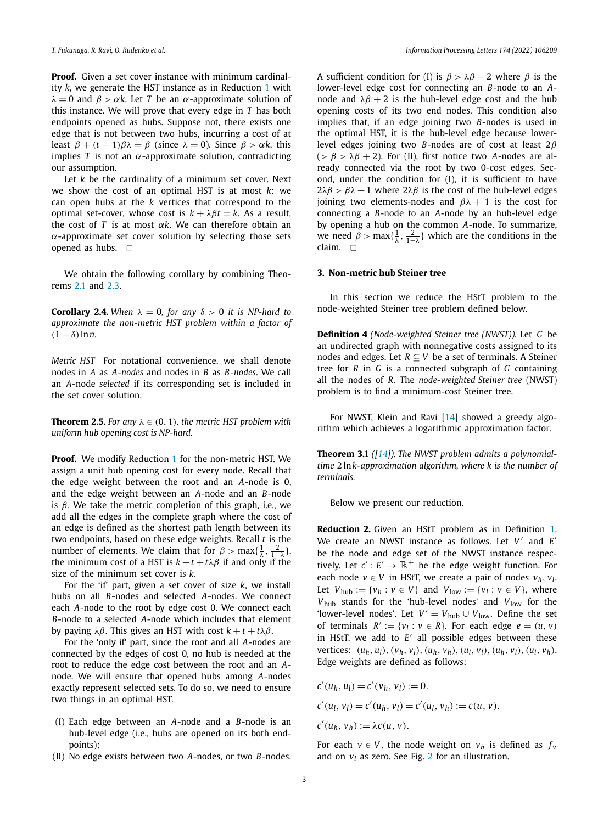<span id="page-2-0"></span>**Proof.** Given a set cover instance with minimum cardinality *k*, we generate the HST instance as in Reduction [1](#page-1-0) with *λ* = 0 and *β* > *αk*. Let *T* be an *α*-approximate solution of this instance. We will prove that every edge in *T* has both endpoints opened as hubs. Suppose not, there exists one edge that is not between two hubs, incurring a cost of at least  $β + (t - 1)βλ = β$  (since  $λ = 0$ ). Since  $β > αk$ , this implies *T* is not an *α*-approximate solution, contradicting our assumption.

Let *k* be the cardinality of a minimum set cover. Next we show the cost of an optimal HST is at most *k*: we can open hubs at the *k* vertices that correspond to the optimal set-cover, whose cost is  $k + \lambda \beta t = k$ . As a result, the cost of *T* is at most *αk*. We can therefore obtain an *α*-approximate set cover solution by selecting those sets opened as hubs.  $\Box$ 

We obtain the following corollary by combining Theorems [2.1](#page-1-0) and [2.3.](#page-1-0)

**Corollary 2.4.** *When*  $\lambda = 0$ *, for any*  $\delta > 0$  *it is NP-hard to approximate the non-metric HST problem within a factor of*  $(1 - \delta) \ln n$ .

*Metric HST* For notational convenience, we shall denote nodes in *A* as *A-nodes* and nodes in *B* as *B-nodes*. We call an *A*-node *selected* if its corresponding set is included in the set cover solution.

**Theorem 2.5.** For any  $\lambda \in (0, 1)$ , the metric HST problem with *uniform hub opening cost is NP-hard.*

**Proof.** We modify Reduction [1](#page-1-0) for the non-metric HST. We assign a unit hub opening cost for every node. Recall that the edge weight between the root and an *A*-node is 0, and the edge weight between an *A*-node and an *B*-node is *β*. We take the metric completion of this graph, i.e., we add all the edges in the complete graph where the cost of an edge is defined as the shortest path length between its two endpoints, based on these edge weights. Recall *t* is the number of elements. We claim that for  $\beta > \max\{\frac{1}{\lambda}, \frac{2}{1-\lambda}\}\$ , the minimum cost of a HST is  $k + t + t\lambda\beta$  if and only if the size of the minimum set cover is *k*.

For the 'if' part, given a set cover of size *k*, we install hubs on all *B*-nodes and selected *A*-nodes. We connect each *A*-node to the root by edge cost 0. We connect each *B*-node to a selected *A*-node which includes that element by paying *λβ*. This gives an HST with cost *k* + *t* + *tλβ*.

For the 'only if' part, since the root and all *A*-nodes are connected by the edges of cost 0, no hub is needed at the root to reduce the edge cost between the root and an *A*node. We will ensure that opened hubs among *A*-nodes exactly represent selected sets. To do so, we need to ensure two things in an optimal HST.

- (I) Each edge between an *A*-node and a *B*-node is an hub-level edge (i.e., hubs are opened on its both endpoints);
- (II) No edge exists between two *A*-nodes, or two *B*-nodes.

A sufficient condition for (I) is  $\beta > \lambda \beta + 2$  where  $\beta$  is the lower-level edge cost for connecting an *B*-node to an *A*node and  $λβ + 2$  is the hub-level edge cost and the hub opening costs of its two end nodes. This condition also implies that, if an edge joining two *B*-nodes is used in the optimal HST, it is the hub-level edge because lowerlevel edges joining two *B*-nodes are of cost at least 2*β* ( $>\beta$   $>\lambda\beta$  + 2). For (II), first notice two *A*-nodes are already connected via the root by two 0-cost edges. Second, under the condition for (I), it is sufficient to have  $2\lambda\beta > \beta\lambda + 1$  where  $2\lambda\beta$  is the cost of the hub-level edges joining two elements-nodes and  $\beta\lambda + 1$  is the cost for connecting a *B*-node to an *A*-node by an hub-level edge by opening a hub on the common *A*-node. To summarize, we need  $\beta > \max\{\frac{1}{\lambda}, \frac{2}{1-\lambda}\}\$  which are the conditions in the claim.  $\Box$ 

# **3. Non-metric hub Steiner tree**

In this section we reduce the HStT problem to the node-weighted Steiner tree problem defined below.

**Definition 4** *(Node-weighted Steiner tree (NWST)).* Let *G* be an undirected graph with nonnegative costs assigned to its nodes and edges. Let  $R \subseteq V$  be a set of terminals. A Steiner tree for *R* in *G* is a connected subgraph of *G* containing all the nodes of *R*. The *node-weighted Steiner tree* (NWST) problem is to find a minimum-cost Steiner tree.

For NWST, Klein and Ravi [[14](#page-5-0)] showed a greedy algorithm which achieves a logarithmic approximation factor.

**Theorem 3.1** *([\[14\]](#page-5-0)). The NWST problem admits a polynomialtime* 2 ln*k-approximation algorithm, where k is the number of terminals.*

Below we present our reduction.

**Reduction 2.** Given an HStT problem as in Definition [1](#page-0-0). We create an NWST instance as follows. Let *V'* and *E'* be the node and edge set of the NWST instance respectively. Let  $c' : E' \to \mathbb{R}^+$  be the edge weight function. For each node *v* ∈ *V* in HStT, we create a pair of nodes  $v_h$ ,  $v_l$ . Let  $V_{\text{hub}} := \{v_h : v \in V\}$  and  $V_{\text{low}} := \{v_l : v \in V\}$ , where *V*hub stands for the 'hub-level nodes' and *V*low for the 'lower-level nodes'. Let  $V' = V_{\text{hub}} \cup V_{\text{low}}$ . Define the set of terminals  $R' := \{v_1 : v \in R\}$ . For each edge  $e = (u, v)$ in HStT, we add to  $E'$  all possible edges between these vertices:  $(u_h, u_l)$ ,  $(v_h, v_l)$ ,  $(u_h, v_h)$ ,  $(u_l, v_l)$ ,  $(u_h, v_l)$ ,  $(u_l, v_h)$ . Edge weights are defined as follows:

$$
c'(u_h, u_l) = c'(v_h, v_l) := 0.
$$
  
\n
$$
c'(u_l, v_l) = c'(u_h, v_l) = c'(u_l, v_h) := c(u, v).
$$
  
\n
$$
c'(u_h, v_h) := \lambda c(u, v).
$$

For each  $v \in V$ , the node weight on  $v_h$  is defined as  $f_v$ and on  $v_l$  as zero. See Fig. [2](#page-3-0) for an illustration.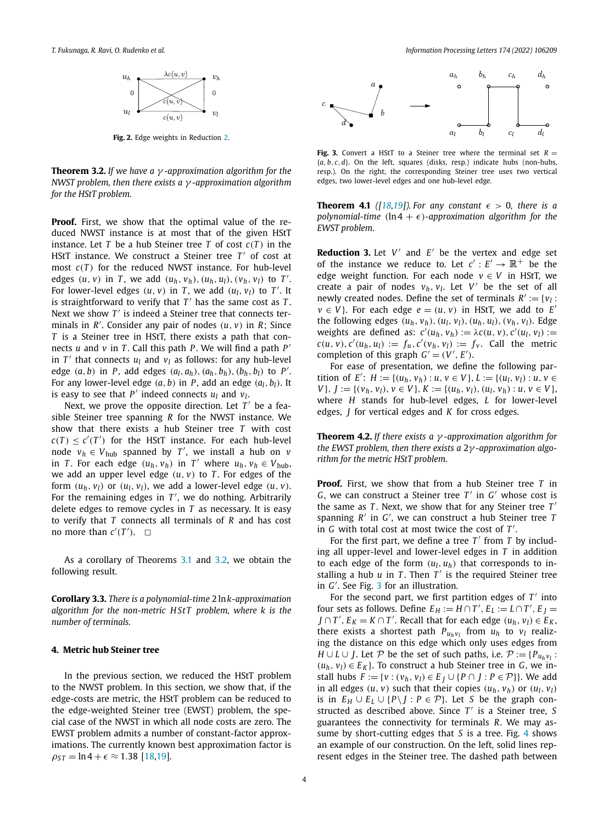<span id="page-3-0"></span>

**Fig. 2.** Edge weights in Reduction [2.](#page-2-0)

**Theorem 3.2.** *If we have a γ -approximation algorithm for the NWST problem, then there exists a γ -approximation algorithm for the HStT problem.*

**Proof.** First, we show that the optimal value of the reduced NWST instance is at most that of the given HStT instance. Let *T* be a hub Steiner tree *T* of cost  $c(T)$  in the HStT instance. We construct a Steiner tree  $T'$  of cost at most *c(T )* for the reduced NWST instance. For hub-level edges  $(u, v)$  in *T*, we add  $(u_h, v_h)$ ,  $(u_h, u_l)$ ,  $(v_h, v_l)$  to *T'*. For lower-level edges  $(u, v)$  in *T*, we add  $(u_l, v_l)$  to *T'*. It is straightforward to verify that  $T'$  has the same cost as  $T$ . Next we show *T'* is indeed a Steiner tree that connects terminals in  $R'$ . Consider any pair of nodes  $(u, v)$  in  $R$ ; Since *T* is a Steiner tree in HStT, there exists a path that connects *u* and *v* in *T*. Call this path *P*. We will find a path  $P'$ in  $T'$  that connects  $u_l$  and  $v_l$  as follows: for any hub-level edge  $(a, b)$  in *P*, add edges  $(a_l, a_h)$ ,  $(a_h, b_h)$ ,  $(b_h, b_l)$  to *P*<sup>'</sup>. For any lower-level edge  $(a, b)$  in *P*, add an edge  $(a<sub>l</sub>, b<sub>l</sub>)$ . It is easy to see that  $P'$  indeed connects  $u_1$  and  $v_1$ .

Next, we prove the opposite direction. Let  $T'$  be a feasible Steiner tree spanning *R* for the NWST instance. We show that there exists a hub Steiner tree *T* with cost  $c(T) \leq c'(T')$  for the HStT instance. For each hub-level node  $v_h \in V_{\text{hub}}$  spanned by *T'*, we install a hub on *v* in *T*. For each edge  $(u_h, v_h)$  in *T'* where  $u_h, v_h \in V_{\text{hub}}$ , we add an upper level edge  $(u, v)$  to *T*. For edges of the form  $(u_h, v_l)$  or  $(u_l, v_l)$ , we add a lower-level edge  $(u, v)$ . For the remaining edges in  $T'$ , we do nothing. Arbitrarily delete edges to remove cycles in *T* as necessary. It is easy to verify that *T* connects all terminals of *R* and has cost no more than  $c'(T')$ .  $\Box$ 

As a corollary of Theorems [3.1](#page-2-0) and 3.2, we obtain the following result.

**Corollary 3.3.** *There is a polynomial-time* 2 ln*k-approximation algorithm for the non-metric H St T problem, where k is the number of terminals.*

# **4. Metric hub Steiner tree**

In the previous section, we reduced the HStT problem to the NWST problem. In this section, we show that, if the edge-costs are metric, the HStT problem can be reduced to the edge-weighted Steiner tree (EWST) problem, the special case of the NWST in which all node costs are zero. The EWST problem admits a number of constant-factor approximations. The currently known best approximation factor is  $\rho_{ST} = \ln 4 + \epsilon \approx 1.38$  [[18,19](#page-5-0)].



**Fig. 3.** Convert a HStT to a Steiner tree where the terminal set  $R =$  ${a, b, c, d}$ . On the left, squares (disks, resp.) indicate hubs (non-hubs, resp.). On the right, the corresponding Steiner tree uses two vertical edges, two lower-level edges and one hub-level edge.

**Theorem 4.1** ([\[18,19](#page-5-0)]). For any constant  $\epsilon > 0$ , there is a *polynomial-time*  $(ln 4 + \epsilon)$ *-approximation algorithm for the EWST problem.*

**Reduction 3.** Let  $V'$  and  $E'$  be the vertex and edge set of the instance we reduce to. Let  $c': E' \to \mathbb{R}^+$  be the edge weight function. For each node  $v \in V$  in HStT, we create a pair of nodes  $v_h$ ,  $v_l$ . Let V' be the set of all newly created nodes. Define the set of terminals  $R' := \{v_1 :$  $v \in V$ }. For each edge  $e = (u, v)$  in HStT, we add to  $E'$ the following edges  $(u_h, v_h), (u_l, v_l), (u_h, u_l), (v_h, v_l)$ . Edge weights are defined as:  $c'(u_h, v_h) := \lambda c(u, v), c'(u_l, v_l) :=$  $c(u, v), c'(u_h, u_l) := f_u, c'(v_h, v_l) := f_v$ . Call the metric completion of this graph  $G' = (V', E')$ .

For ease of presentation, we define the following partition of *E*<sup>'</sup>: *H* := { $(u_h, v_h) : u, v \in V$ },  $L := \{(u_l, v_l) : u, v \in V\}$  $V$ ,  $J := \{ (v_h, v_l), v \in V \}$ ,  $K := \{ (u_h, v_l), (u_l, v_h) : u, v \in V \}$ , where *H* stands for hub-level edges, *L* for lower-level edges, *J* for vertical edges and *K* for cross edges.

**Theorem 4.2.** *If there exists a γ -approximation algorithm for the EWST problem, then there exists a* 2*γ -approximation algorithm for the metric HStT problem.*

**Proof.** First, we show that from a hub Steiner tree *T* in *G*, we can construct a Steiner tree *T'* in *G'* whose cost is the same as  $T$ . Next, we show that for any Steiner tree  $T'$ spanning *R'* in *G'*, we can construct a hub Steiner tree *T* in  $G$  with total cost at most twice the cost of  $T'$ .

For the first part, we define a tree  $T'$  from  $T$  by including all upper-level and lower-level edges in *T* in addition to each edge of the form  $(u_l, u_h)$  that corresponds to installing a hub  $u$  in  $T$ . Then  $T'$  is the required Steiner tree in *G*<sup>'</sup>. See Fig. 3 for an illustration.

For the second part, we first partition edges of  $T'$  into four sets as follows. Define  $E_H := H \cap T'$ ,  $E_L := L \cap T'$ ,  $E_J =$ *J* ∩ *T'*, *E*<sub>*K*</sub> = *K* ∩ *T'*. Recall that for each edge  $(u_h, v_l) \in E_K$ , there exists a shortest path  $P_{u_h v_l}$  from  $u_h$  to  $v_l$  realizing the distance on this edge which only uses edges from *H* ∪ *L* ∪ *J*. Let  $P$  be the set of such paths, i.e.  $P := {P_{u_h v_l}}$ :  $(u_h, v_l) ∈ E_K$ . To construct a hub Steiner tree in *G*, we install hubs  $F := \{v : (v_h, v_l) \in E_l \cup \{P \cap J : P \in \mathcal{P}\}\}\)$ . We add in all edges  $(u, v)$  such that their copies  $(u_h, v_h)$  or  $(u_l, v_l)$ is in  $E$ <sup>*H*</sup> ∪  $E$ <sup>*L*</sup> ∪ {*P* \*J* : *P* ∈ *P*}. Let *S* be the graph constructed as described above. Since *T'* is a Steiner tree, *S* guarantees the connectivity for terminals *R*. We may assume by short-cutting edges that *S* is a tree. Fig. [4](#page-4-0) shows an example of our construction. On the left, solid lines represent edges in the Steiner tree. The dashed path between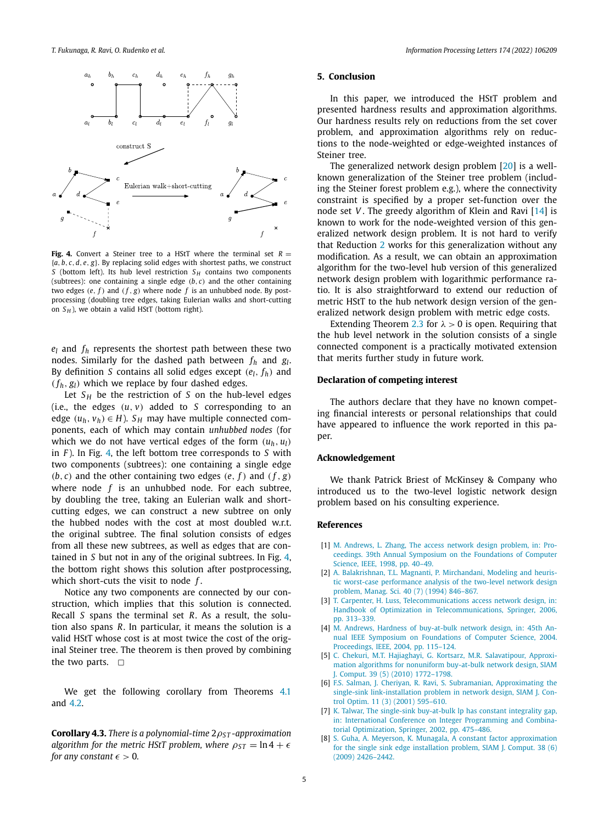<span id="page-4-0"></span>

**Fig. 4.** Convert a Steiner tree to a HStT where the terminal set  $R =$ {*a, b, c,d, e, g*}. By replacing solid edges with shortest paths, we construct *S* (bottom left). Its hub level restriction  $S$ <sup>*H*</sup> contains two components (subtrees): one containing a single edge *(b, c)* and the other containing two edges  $(e, f)$  and  $(f, g)$  where node f is an unhubbed node. By postprocessing (doubling tree edges, taking Eulerian walks and short-cutting on  $S_H$ ), we obtain a valid HStT (bottom right).

 $e_l$  and  $f_h$  represents the shortest path between these two nodes. Similarly for the dashed path between *fh* and *gl*. By definition *S* contains all solid edges except  $(e_l, f_h)$  and  $(f_h, g_l)$  which we replace by four dashed edges.

Let  $S_H$  be the restriction of *S* on the hub-level edges (i.e., the edges  $(u, v)$  added to *S* corresponding to an edge  $(u_h, v_h) \in H$ ). *S*<sup>H</sup> may have multiple connected components, each of which may contain *unhubbed nodes* (for which we do not have vertical edges of the form  $(u_h, u_l)$ in *F* ). In Fig. 4, the left bottom tree corresponds to *S* with two components (subtrees): one containing a single edge  $(b, c)$  and the other containing two edges  $(e, f)$  and  $(f, g)$ where node *f* is an unhubbed node. For each subtree, by doubling the tree, taking an Eulerian walk and shortcutting edges, we can construct a new subtree on only the hubbed nodes with the cost at most doubled w.r.t. the original subtree. The final solution consists of edges from all these new subtrees, as well as edges that are contained in *S* but not in any of the original subtrees. In Fig. 4, the bottom right shows this solution after postprocessing, which short-cuts the visit to node *f* .

Notice any two components are connected by our construction, which implies that this solution is connected. Recall *S* spans the terminal set *R*. As a result, the solution also spans *R*. In particular, it means the solution is a valid HStT whose cost is at most twice the cost of the original Steiner tree. The theorem is then proved by combining the two parts.  $\Box$ 

We get the following corollary from Theorems [4.1](#page-3-0) and [4.2.](#page-3-0)

**Corollary 4.3.** *There is a polynomial-time* 2*ρS T -approximation algorithm for the metric HStT problem, where*  $\rho_{ST} = \ln 4 + \epsilon$ *for any constant*  $\epsilon > 0$ *.* 

# **5. Conclusion**

In this paper, we introduced the HStT problem and presented hardness results and approximation algorithms. Our hardness results rely on reductions from the set cover problem, and approximation algorithms rely on reductions to the node-weighted or edge-weighted instances of Steiner tree.

The generalized network design problem [\[20\]](#page-5-0) is a wellknown generalization of the Steiner tree problem (including the Steiner forest problem e.g.), where the connectivity constraint is specified by a proper set-function over the node set *V* . The greedy algorithm of Klein and Ravi [\[14](#page-5-0)] is known to work for the node-weighted version of this generalized network design problem. It is not hard to verify that Reduction [2](#page-2-0) works for this generalization without any modification. As a result, we can obtain an approximation algorithm for the two-level hub version of this generalized network design problem with logarithmic performance ratio. It is also straightforward to extend our reduction of metric HStT to the hub network design version of the generalized network design problem with metric edge costs.

Extending Theorem [2.3](#page-1-0) for  $\lambda > 0$  is open. Requiring that the hub level network in the solution consists of a single connected component is a practically motivated extension that merits further study in future work.

# **Declaration of competing interest**

The authors declare that they have no known competing financial interests or personal relationships that could have appeared to influence the work reported in this paper.

# **Acknowledgement**

We thank Patrick Briest of McKinsey & Company who introduced us to the two-level logistic network design problem based on his consulting experience.

#### **References**

- [1] M. [Andrews,](http://refhub.elsevier.com/S0020-0190(21)00124-1/bibD6976DF63675961F39D958F467F36C82s1) L. Zhang, The access network design problem, in: Proceedings. 39th Annual Symposium on the [Foundations](http://refhub.elsevier.com/S0020-0190(21)00124-1/bibD6976DF63675961F39D958F467F36C82s1) of Computer Science, IEEE, 1998, [pp. 40–49.](http://refhub.elsevier.com/S0020-0190(21)00124-1/bibD6976DF63675961F39D958F467F36C82s1)
- [2] A. [Balakrishnan,](http://refhub.elsevier.com/S0020-0190(21)00124-1/bib79B49030496D700E59B7BAF77C5E4BCBs1) T.L. Magnanti, P. Mirchandani, Modeling and heuristic worst-case [performance](http://refhub.elsevier.com/S0020-0190(21)00124-1/bib79B49030496D700E59B7BAF77C5E4BCBs1) analysis of the two-level network design problem, Manag. Sci. 40 (7) (1994) [846–867.](http://refhub.elsevier.com/S0020-0190(21)00124-1/bib79B49030496D700E59B7BAF77C5E4BCBs1)
- [3] T. Carpenter, H. Luss, [Telecommunications](http://refhub.elsevier.com/S0020-0190(21)00124-1/bibD61A9615D1C51AC5168E2B6829CABE73s1) access network design, in: Handbook of Optimization in [Telecommunications,](http://refhub.elsevier.com/S0020-0190(21)00124-1/bibD61A9615D1C51AC5168E2B6829CABE73s1) Springer, 2006, [pp. 313–339.](http://refhub.elsevier.com/S0020-0190(21)00124-1/bibD61A9615D1C51AC5168E2B6829CABE73s1)
- [4] M. Andrews, Hardness of [buy-at-bulk](http://refhub.elsevier.com/S0020-0190(21)00124-1/bibDA2940901B66997E6049BD1B442539BAs1) network design, in: 45th Annual IEEE Symposium on [Foundations](http://refhub.elsevier.com/S0020-0190(21)00124-1/bibDA2940901B66997E6049BD1B442539BAs1) of Computer Science, 2004. Proceedings, IEEE, 2004, [pp. 115–124.](http://refhub.elsevier.com/S0020-0190(21)00124-1/bibDA2940901B66997E6049BD1B442539BAs1)
- [5] C. Chekuri, M.T. Hajiaghayi, G. Kortsarz, M.R. [Salavatipour,](http://refhub.elsevier.com/S0020-0190(21)00124-1/bibB7B20C6B26421C2ABA8D6FA0A195E26Fs1) Approximation algorithms for [nonuniform](http://refhub.elsevier.com/S0020-0190(21)00124-1/bibB7B20C6B26421C2ABA8D6FA0A195E26Fs1) buy-at-bulk network design, SIAM J. Comput. 39 (5) (2010) [1772–1798.](http://refhub.elsevier.com/S0020-0190(21)00124-1/bibB7B20C6B26421C2ABA8D6FA0A195E26Fs1)
- [6] F.S. Salman, J. Cheriyan, R. Ravi, S. Subramanian, [Approximating](http://refhub.elsevier.com/S0020-0190(21)00124-1/bibCDA86D8109CB30095C27195837608F59s1) the single-sink [link-installation](http://refhub.elsevier.com/S0020-0190(21)00124-1/bibCDA86D8109CB30095C27195837608F59s1) problem in network design, SIAM J. Control Optim. 11 (3) (2001) [595–610.](http://refhub.elsevier.com/S0020-0190(21)00124-1/bibCDA86D8109CB30095C27195837608F59s1)
- [7] K. Talwar, The single-sink [buy-at-bulk](http://refhub.elsevier.com/S0020-0190(21)00124-1/bibC538121938E3D7549A3F52DBC9B77B58s1) lp has constant integrality gap, in: International Conference on Integer [Programming](http://refhub.elsevier.com/S0020-0190(21)00124-1/bibC538121938E3D7549A3F52DBC9B77B58s1) and Combinatorial [Optimization,](http://refhub.elsevier.com/S0020-0190(21)00124-1/bibC538121938E3D7549A3F52DBC9B77B58s1) Springer, 2002, pp. 475–486.
- [8] S. Guha, A. Meyerson, K. Munagala, A constant factor [approximation](http://refhub.elsevier.com/S0020-0190(21)00124-1/bib6305FF3EA6FD97D07BBFC5FAA21F4A85s1) for the single sink edge [installation](http://refhub.elsevier.com/S0020-0190(21)00124-1/bib6305FF3EA6FD97D07BBFC5FAA21F4A85s1) problem, SIAM J. Comput. 38 (6) (2009) [2426–2442.](http://refhub.elsevier.com/S0020-0190(21)00124-1/bib6305FF3EA6FD97D07BBFC5FAA21F4A85s1)